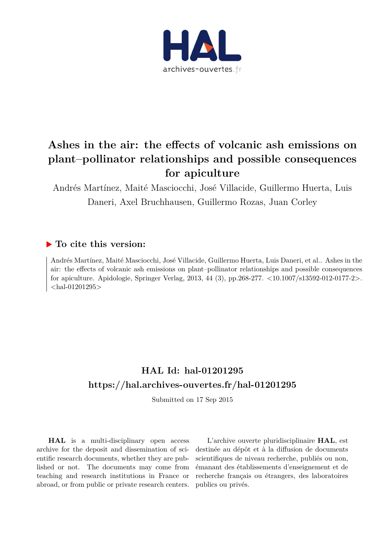

# **Ashes in the air: the effects of volcanic ash emissions on plant–pollinator relationships and possible consequences for apiculture**

Andrés Martínez, Maité Masciocchi, José Villacide, Guillermo Huerta, Luis Daneri, Axel Bruchhausen, Guillermo Rozas, Juan Corley

## **To cite this version:**

Andrés Martínez, Maité Masciocchi, José Villacide, Guillermo Huerta, Luis Daneri, et al.. Ashes in the air: the effects of volcanic ash emissions on plant–pollinator relationships and possible consequences for apiculture. Apidologie, Springer Verlag, 2013, 44 (3), pp.268-277. <10.1007/s13592-012-0177-2>.  $\langle$ hal-01201295 $>$ 

# **HAL Id: hal-01201295 <https://hal.archives-ouvertes.fr/hal-01201295>**

Submitted on 17 Sep 2015

**HAL** is a multi-disciplinary open access archive for the deposit and dissemination of scientific research documents, whether they are published or not. The documents may come from teaching and research institutions in France or abroad, or from public or private research centers.

L'archive ouverte pluridisciplinaire **HAL**, est destinée au dépôt et à la diffusion de documents scientifiques de niveau recherche, publiés ou non, émanant des établissements d'enseignement et de recherche français ou étrangers, des laboratoires publics ou privés.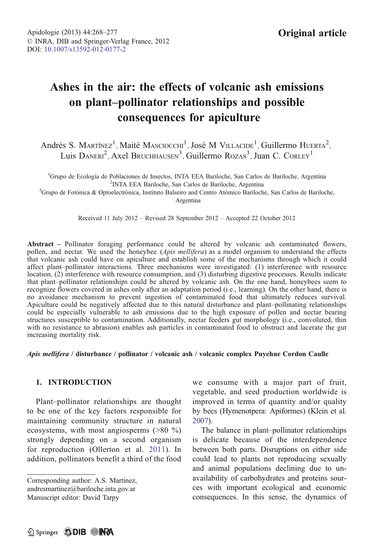## Ashes in the air: the effects of volcanic ash emissions on plant–pollinator relationships and possible consequences for apiculture

Andrés S. Martínez<sup>1</sup>, Maité Masciocchi<sup>1</sup>, José M Villacide<sup>1</sup>, Guillermo Huerta<sup>2</sup>, Luis DANERI<sup>2</sup>, Axel BRUCHHAUSEN<sup>3</sup>, Guillermo ROZAS<sup>3</sup>, Juan C. CORLEY<sup>1</sup>

<sup>1</sup>Grupo de Ecología de Poblaciones de Insectos, INTA EEA Bariloche, San Carlos de Bariloche, Argentina <sup>2</sup>INTA EEA Bariloche, San Carlos de Bariloche, Argentina INTA EEA Bariloche, San Carlos de Bariloche, Argentina <sup>3</sup> Grupo de Fotónica & Optoelectrónica, Instituto Balseiro and Centro Atómico Bariloche, San Carlos de Bariloche,

Argentina

Received 11 July 2012 – Revised 28 September 2012 – Accepted 22 October 2012

Abstract – Pollinator foraging performance could be altered by volcanic ash contaminated flowers, pollen, and nectar. We used the honeybee (Apis mellifera) as a model organism to understand the effects that volcanic ash could have on apiculture and establish some of the mechanisms through which it could affect plant–pollinator interactions. Three mechanisms were investigated: (1) interference with resource location, (2) interference with resource consumption, and (3) disturbing digestive processes. Results indicate that plant–pollinator relationships could be altered by volcanic ash. On the one hand, honeybees seem to recognize flowers covered in ashes only after an adaptation period (i.e., learning). On the other hand, there is no avoidance mechanism to prevent ingestion of contaminated food that ultimately reduces survival. Apiculture could be negatively affected due to this natural disturbance and plant–pollinating relationships could be especially vulnerable to ash emissions due to the high exposure of pollen and nectar bearing structures susceptible to contamination. Additionally, nectar feeders gut morphology (i.e., convoluted, thin with no resistance to abrasion) enables ash particles in contaminated food to obstruct and lacerate the gut increasing mortality risk.

#### Apis mellifera / disturbance / pollinator / volcanic ash / volcanic complex Puyehue Cordon Caulle

#### 1. INTRODUCTION

Plant–pollinator relationships are thought to be one of the key factors responsible for maintaining community structure in natural ecosystems, with most angiosperms (>80 %) strongly depending on a second organism for reproduction (Ollerton et al. [2011](#page-10-0)). In addition, pollinators benefit a third of the food

Corresponding author: A.S. Martínez, andresmartinez@bariloche.inta.gov.ar Manuscript editor: David Tarpy

we consume with a major part of fruit, vegetable, and seed production worldwide is improved in terms of quantity and/or quality by bees (Hymenotpera: Apiformes) (Klein et al. [2007\)](#page-9-0).

The balance in plant–pollinator relationships is delicate because of the interdependence between both parts. Disruptions on either side could lead to plants not reproducing sexually and animal populations declining due to unavailability of carbohydrates and proteins sources with important ecological and economic consequences. In this sense, the dynamics of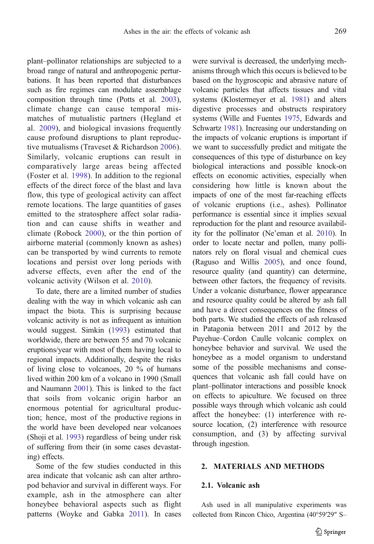plant–pollinator relationships are subjected to a broad range of natural and anthropogenic perturbations. It has been reported that disturbances such as fire regimes can modulate assemblage composition through time (Potts et al. [2003](#page-10-0)), climate change can cause temporal mismatches of mutualistic partners (Hegland et al. [2009\)](#page-9-0), and biological invasions frequently cause profound disruptions to plant reproductive mutualisms (Traveset & Richardson [2006\)](#page-10-0). Similarly, volcanic eruptions can result in comparatively large areas being affected (Foster et al. [1998\)](#page-9-0). In addition to the regional effects of the direct force of the blast and lava flow, this type of geological activity can affect remote locations. The large quantities of gases emitted to the stratosphere affect solar radiation and can cause shifts in weather and climate (Robock [2000\)](#page-10-0), or the thin portion of airborne material (commonly known as ashes) can be transported by wind currents to remote locations and persist over long periods with adverse effects, even after the end of the volcanic activity (Wilson et al. [2010](#page-10-0)).

To date, there are a limited number of studies dealing with the way in which volcanic ash can impact the biota. This is surprising because volcanic activity is not as infrequent as intuition would suggest. Simkin [\(1993\)](#page-10-0) estimated that worldwide, there are between 55 and 70 volcanic eruptions/year with most of them having local to regional impacts. Additionally, despite the risks of living close to volcanoes, 20 % of humans lived within 200 km of a volcano in 1990 (Small and Naumann [2001\)](#page-10-0). This is linked to the fact that soils from volcanic origin harbor an enormous potential for agricultural production; hence, most of the productive regions in the world have been developed near volcanoes (Shoji et al. [1993\)](#page-10-0) regardless of being under risk of suffering from their (in some cases devastating) effects.

Some of the few studies conducted in this area indicate that volcanic ash can alter arthropod behavior and survival in different ways. For example, ash in the atmosphere can alter honeybee behavioral aspects such as flight patterns (Woyke and Gabka [2011\)](#page-10-0). In cases were survival is decreased, the underlying mechanisms through which this occurs is believed to be based on the hygroscopic and abrasive nature of volcanic particles that affects tissues and vital systems (Klostermeyer et al. [1981](#page-9-0)) and alters digestive processes and obstructs respiratory systems (Wille and Fuentes [1975](#page-10-0), Edwards and Schwartz [1981](#page-9-0)). Increasing our understanding on the impacts of volcanic eruptions is important if we want to successfully predict and mitigate the consequences of this type of disturbance on key biological interactions and possible knock-on effects on economic activities, especially when considering how little is known about the impacts of one of the most far-reaching effects of volcanic eruptions (i.e., ashes). Pollinator performance is essential since it implies sexual reproduction for the plant and resource availability for the pollinator (Ne'eman et al. [2010\)](#page-10-0). In order to locate nectar and pollen, many pollinators rely on floral visual and chemical cues (Raguso and Willis [2005\)](#page-10-0), and once found, resource quality (and quantity) can determine, between other factors, the frequency of revisits. Under a volcanic disturbance, flower appearance and resource quality could be altered by ash fall and have a direct consequences on the fitness of both parts. We studied the effects of ash released in Patagonia between 2011 and 2012 by the Puyehue–Cordon Caulle volcanic complex on honeybee behavior and survival. We used the honeybee as a model organism to understand some of the possible mechanisms and consequences that volcanic ash fall could have on plant–pollinator interactions and possible knock on effects to apiculture. We focused on three possible ways through which volcanic ash could affect the honeybee: (1) interference with resource location, (2) interference with resource consumption, and (3) by affecting survival through ingestion.

## 2. MATERIALS AND METHODS

#### 2.1. Volcanic ash

Ash used in all manipulative experiments was collected from Rincon Chico, Argentina (40°59′29″ S–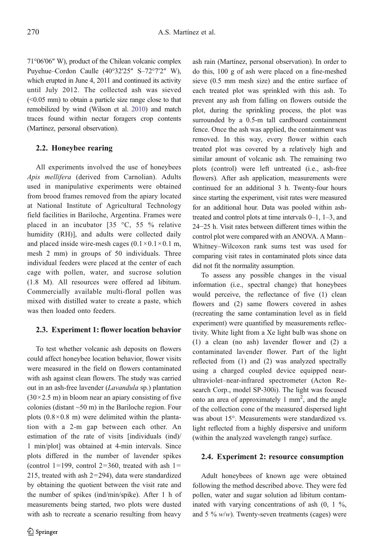71°06′06″ W), product of the Chilean volcanic complex Puyehue–Cordon Caulle (40°32′25″ S–72°7′2″ W), which erupted in June 4, 2011 and continued its activity until July 2012. The collected ash was sieved (<0.05 mm) to obtain a particle size range close to that remobilized by wind (Wilson et al. [2010\)](#page-10-0) and match traces found within nectar foragers crop contents (Martínez, personal observation).

#### 2.2. Honeybee rearing

All experiments involved the use of honeybees Apis mellifera (derived from Carnolian). Adults used in manipulative experiments were obtained from brood frames removed from the apiary located at National Institute of Agricultural Technology field facilities in Bariloche, Argentina. Frames were placed in an incubator [35 °C, 55 % relative humidity (RH)], and adults were collected daily and placed inside wire-mesh cages  $(0.1 \times 0.1 \times 0.1 \text{ m})$ , mesh 2 mm) in groups of 50 individuals. Three individual feeders were placed at the center of each cage with pollen, water, and sucrose solution (1.8 M). All resources were offered ad libitum. Commercially available multi-floral pollen was mixed with distilled water to create a paste, which was then loaded onto feeders.

#### 2.3. Experiment 1: flower location behavior

To test whether volcanic ash deposits on flowers could affect honeybee location behavior, flower visits were measured in the field on flowers contaminated with ash against clean flowers. The study was carried out in an ash-free lavender (Lavandula sp.) plantation  $(30\times2.5 \text{ m})$  in bloom near an apiary consisting of five colonies (distant ~50 m) in the Bariloche region. Four plots  $(0.8 \times 0.8 \text{ m})$  were delimited within the plantation with a 2-m gap between each other. An estimation of the rate of visits [individuals (ind)/ 1 min/plot] was obtained at 4-min intervals. Since plots differed in the number of lavender spikes (control 1=199, control 2=360, treated with ash 1= 215, treated with ash  $2=294$ ), data were standardized by obtaining the quotient between the visit rate and the number of spikes (ind/min/spike). After 1 h of measurements being started, two plots were dusted with ash to recreate a scenario resulting from heavy ash rain (Martínez, personal observation). In order to do this, 100 g of ash were placed on a fine-meshed sieve (0.5 mm mesh size) and the entire surface of each treated plot was sprinkled with this ash. To prevent any ash from falling on flowers outside the plot, during the sprinkling process, the plot was surrounded by a 0.5-m tall cardboard containment fence. Once the ash was applied, the containment was removed. In this way, every flower within each treated plot was covered by a relatively high and similar amount of volcanic ash. The remaining two plots (control) were left untreated (i.e., ash-free flowers). After ash application, measurements were continued for an additional 3 h. Twenty-four hours since starting the experiment, visit rates were measured for an additional hour. Data was pooled within ashtreated and control plots at time intervals 0–1, 1–3, and 24−25 h. Visit rates between different times within the control plot were compared with an ANOVA. A Mann– Whitney–Wilcoxon rank sums test was used for comparing visit rates in contaminated plots since data did not fit the normality assumption.

To assess any possible changes in the visual information (i.e., spectral change) that honeybees would perceive, the reflectance of five (1) clean flowers and (2) same flowers covered in ashes (recreating the same contamination level as in field experiment) were quantified by measurements reflectivity. White light from a Xe light bulb was shone on (1) a clean (no ash) lavender flower and (2) a contaminated lavender flower. Part of the light reflected from (1) and (2) was analyzed spectrally using a charged coupled device equipped nearultraviolet–near-infrared spectrometer (Acton Research Corp., model SP-300i). The light was focused onto an area of approximately 1  $mm<sup>2</sup>$ , and the angle of the collection cone of the measured dispersed light was about 15°. Measurements were standardized vs. light reflected from a highly dispersive and uniform (within the analyzed wavelength range) surface.

#### 2.4. Experiment 2: resource consumption

Adult honeybees of known age were obtained following the method described above. They were fed pollen, water and sugar solution ad libitum contaminated with varying concentrations of ash (0, 1 %, and 5 %  $w/w$ ). Twenty-seven treatments (cages) were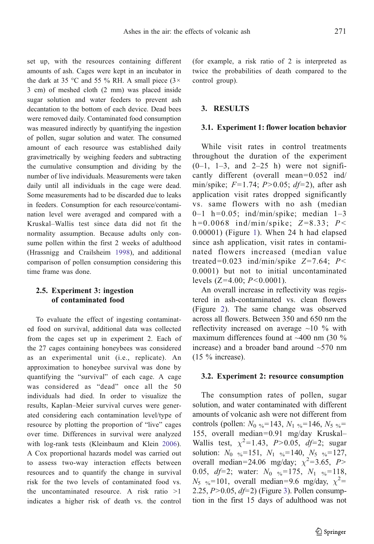set up, with the resources containing different amounts of ash. Cages were kept in an incubator in the dark at 35 °C and 55  $\%$  RH. A small piece (3 $\times$ 3 cm) of meshed cloth (2 mm) was placed inside sugar solution and water feeders to prevent ash decantation to the bottom of each device. Dead bees were removed daily. Contaminated food consumption was measured indirectly by quantifying the ingestion of pollen, sugar solution and water. The consumed amount of each resource was established daily gravimetrically by weighing feeders and subtracting the cumulative consumption and dividing by the number of live individuals. Measurements were taken daily until all individuals in the cage were dead. Some measurements had to be discarded due to leaks in feeders. Consumption for each resource/contamination level were averaged and compared with a Kruskal–Wallis test since data did not fit the normality assumption. Because adults only consume pollen within the first 2 weeks of adulthood (Hrassnigg and Crailsheim [1998\)](#page-9-0), and additional comparison of pollen consumption considering this time frame was done.

## 2.5. Experiment 3: ingestion of contaminated food

To evaluate the effect of ingesting contaminated food on survival, additional data was collected from the cages set up in experiment 2. Each of the 27 cages containing honeybees was considered as an experimental unit (i.e., replicate). An approximation to honeybee survival was done by quantifying the "survival" of each cage. A cage was considered as "dead" once all the 50 individuals had died. In order to visualize the results, Kaplan–Meier survival curves were generated considering each contamination level/type of resource by plotting the proportion of "live" cages over time. Differences in survival were analyzed with log-rank tests (Kleinbaum and Klein [2006](#page-9-0)). A Cox proportional hazards model was carried out to assess two-way interaction effects between resources and to quantify the change in survival risk for the two levels of contaminated food vs. the uncontaminated resource. A risk ratio >1 indicates a higher risk of death vs. the control

(for example, a risk ratio of 2 is interpreted as twice the probabilities of death compared to the control group).

#### 3. RESULTS

#### 3.1. Experiment 1: flower location behavior

While visit rates in control treatments throughout the duration of the experiment  $(0-1, 1-3,$  and  $2-25$  h) were not significantly different (overall mean= $0.052$  ind/ min/spike;  $F=1.74$ ;  $P>0.05$ ;  $df=2$ ), after ash application visit rates dropped significantly vs. same flowers with no ash (median 0-1 h=0.05; ind/min/spike; median  $1-3$  $h = 0.0068$  ind/min/spike;  $Z = 8.33$ ;  $P <$ 0.00001) (Figure [1\)](#page-5-0). When 24 h had elapsed since ash application, visit rates in contaminated flowers increased (median value treated=0.023 ind/min/spike  $Z=7.64$ ; P< 0.0001) but not to initial uncontaminated levels  $(Z=4.00; P<0.0001)$ .

An overall increase in reflectivity was registered in ash-contaminated vs. clean flowers (Figure [2](#page-5-0)). The same change was observed across all flowers. Between 350 and 650 nm the reflectivity increased on average  $\sim$ 10 % with maximum differences found at  $~400$  nm (30 %) increase) and a broader band around  $\sim$ 570 nm  $(15 \%$  increase).

#### 3.2. Experiment 2: resource consumption

The consumption rates of pollen, sugar solution, and water contaminated with different amounts of volcanic ash were not different from controls (pollen:  $N_0 \approx 143$ ,  $N_1 \approx 146$ ,  $N_5 \approx$ 155, overall median=0.91 mg/day Kruskal-Wallis test,  $\chi^2 = 1.43$ ,  $P > 0.05$ ,  $df = 2$ ; sugar solution:  $N_0 \approx 151$ ,  $N_1 \approx 140$ ,  $N_5 \approx 127$ , overall median=24.06 mg/day;  $\chi^2$ =3.65, P> 0.05,  $df=2$ ; water:  $N_0 \approx 175$ ,  $N_1 \approx 118$ ,  $N_5$  <sub>%</sub>=101, overall median=9.6 mg/day,  $\chi^2$ = 2.25,  $P > 0.05$ ,  $df = 2$ ) (Figure [3\)](#page-6-0). Pollen consumption in the first 15 days of adulthood was not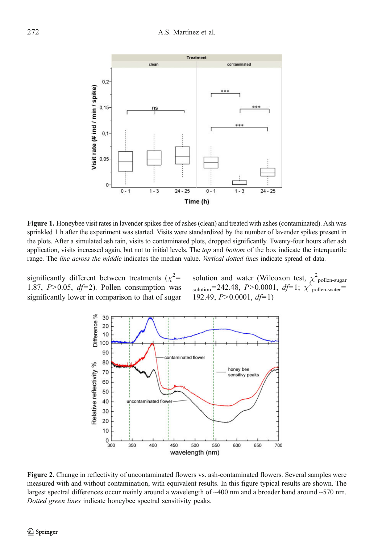<span id="page-5-0"></span>

Figure 1. Honeybee visit rates in lavender spikes free of ashes (clean) and treated with ashes (contaminated). Ash was sprinkled 1 h after the experiment was started. Visits were standardized by the number of lavender spikes present in the plots. After a simulated ash rain, visits to contaminated plots, dropped significantly. Twenty-four hours after ash application, visits increased again, but not to initial levels. The *top* and *bottom* of the box indicate the interquartile range. The line across the middle indicates the median value. Vertical dotted lines indicate spread of data.

significantly different between treatments  $(\chi^2$ = 1.87,  $P > 0.05$ ,  $df=2$ ). Pollen consumption was significantly lower in comparison to that of sugar solution and water (Wilcoxon test,  $\chi^2$ <sub>pollen-sugar</sub><br>solution=242.48, *P*>0.0001, *df*=1;  $\chi^2$ <sub>pollen-water</sub>= 192.49,  $P > 0.0001$ ,  $df=1$ )



Figure 2. Change in reflectivity of uncontaminated flowers vs. ash-contaminated flowers. Several samples were measured with and without contamination, with equivalent results. In this figure typical results are shown. The largest spectral differences occur mainly around a wavelength of ~400 nm and a broader band around ~570 nm. Dotted green lines indicate honeybee spectral sensitivity peaks.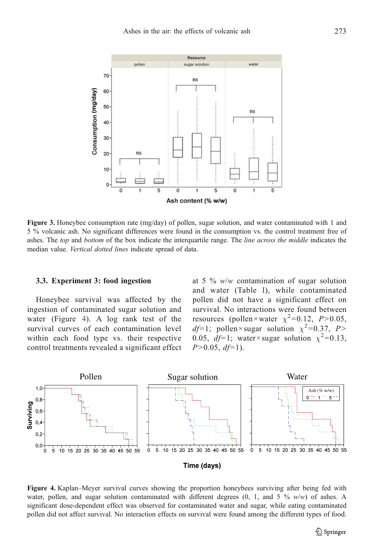<span id="page-6-0"></span>

Figure 3. Honeybee consumption rate (mg/day) of pollen, sugar solution, and water contaminated with 1 and 5 % volcanic ash. No significant differences were found in the consumption vs. the control treatment free of ashes. The top and bottom of the box indicate the interquartile range. The line across the middle indicates the median value. Vertical dotted lines indicate spread of data.

#### 3.3. Experiment 3: food ingestion

Honeybee survival was affected by the ingestion of contaminated sugar solution and water (Figure 4). A log rank test of the survival curves of each contamination level within each food type vs. their respective control treatments revealed a significant effect at 5 %  $w/w$  contamination of sugar solution and water (Table [I\)](#page-7-0), while contaminated pollen did not have a significant effect on survival. No interactions were found between resources (pollen×water  $\chi^2$ =0.12, P>0.05, df=1; pollen×sugar solution  $\chi^2$ =0.37, P> 0.05,  $df=1$ ; water×sugar solution  $\chi^2=0.13$ ,  $P>0.05$ ,  $df=1$ ).



Figure 4. Kaplan–Meyer survival curves showing the proportion honeybees surviving after being fed with water, pollen, and sugar solution contaminated with different degrees  $(0, 1,$  and 5 %  $w/w$ ) of ashes. A significant dose-dependent effect was observed for contaminated water and sugar, while eating contaminated pollen did not affect survival. No interaction effects on survival were found among the different types of food.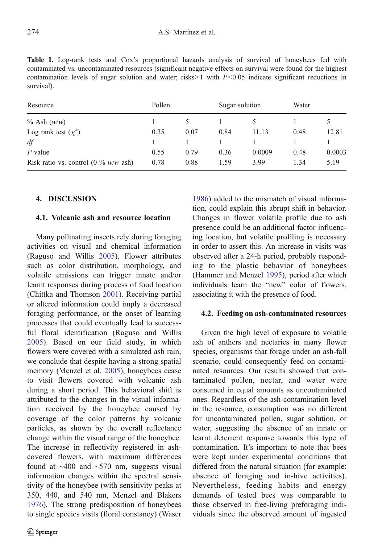<span id="page-7-0"></span>Table I. Log-rank tests and Cox's proportional hazards analysis of survival of honeybees fed with contaminated vs. uncontaminated resources (significant negative effects on survival were found for the highest contamination levels of sugar solution and water; risks $>1$  with  $P < 0.05$  indicate significant reductions in survival).

| Resource<br>$\%$ Ash $(w/w)$            | Pollen |      | Sugar solution |        | Water |        |
|-----------------------------------------|--------|------|----------------|--------|-------|--------|
|                                         |        |      |                |        |       |        |
| Log rank test $(\chi^2)$                | 0.35   | 0.07 | 0.84           | 11.13  | 0.48  | 12.81  |
| df                                      |        |      |                |        |       |        |
| $P$ value                               | 0.55   | 0.79 | 0.36           | 0.0009 | 0.48  | 0.0003 |
| Risk ratio vs. control $(0 \% w/w$ ash) | 0.78   | 0.88 | 1.59           | 3.99   | 1.34  | 5.19   |

## 4. DISCUSSION

### 4.1. Volcanic ash and resource location

Many pollinating insects rely during foraging activities on visual and chemical information (Raguso and Willis [2005\)](#page-10-0). Flower attributes such as color distribution, morphology, and volatile emissions can trigger innate and/or learnt responses during process of food location (Chittka and Thomson [2001\)](#page-9-0). Receiving partial or altered information could imply a decreased foraging performance, or the onset of learning processes that could eventually lead to successful floral identification (Raguso and Willis [2005](#page-10-0)). Based on our field study, in which flowers were covered with a simulated ash rain, we conclude that despite having a strong spatial memory (Menzel et al. [2005\)](#page-10-0), honeybees cease to visit flowers covered with volcanic ash during a short period. This behavioral shift is attributed to the changes in the visual information received by the honeybee caused by coverage of the color patterns by volcanic particles, as shown by the overall reflectance change within the visual range of the honeybee. The increase in reflectivity registered in ashcovered flowers, with maximum differences found at  $~400$  and  $~570$  nm, suggests visual information changes within the spectral sensitivity of the honeybee (with sensitivity peaks at 350, 440, and 540 nm, Menzel and Blakers [1976](#page-10-0)). The strong predisposition of honeybees to single species visits (floral constancy) (Waser

tion, could explain this abrupt shift in behavior. Changes in flower volatile profile due to ash presence could be an additional factor influencing location, but volatile profiling is necessary in order to assert this. An increase in visits was observed after a 24-h period, probably responding to the plastic behavior of honeybees (Hammer and Menzel [1995](#page-9-0)), period after which individuals learn the "new" color of flowers, associating it with the presence of food.

[1986\)](#page-10-0) added to the mismatch of visual informa-

## 4.2. Feeding on ash-contaminated resources

Given the high level of exposure to volatile ash of anthers and nectaries in many flower species, organisms that forage under an ash-fall scenario, could consequently feed on contaminated resources. Our results showed that contaminated pollen, nectar, and water were consumed in equal amounts as uncontaminated ones. Regardless of the ash-contamination level in the resource, consumption was no different for uncontaminated pollen, sugar solution, or water, suggesting the absence of an innate or learnt deterrent response towards this type of contamination. It's important to note that bees were kept under experimental conditions that differed from the natural situation (for example: absence of foraging and in-hive activities). Nevertheless, feeding habits and energy demands of tested bees was comparable to those observed in free-living preforaging individuals since the observed amount of ingested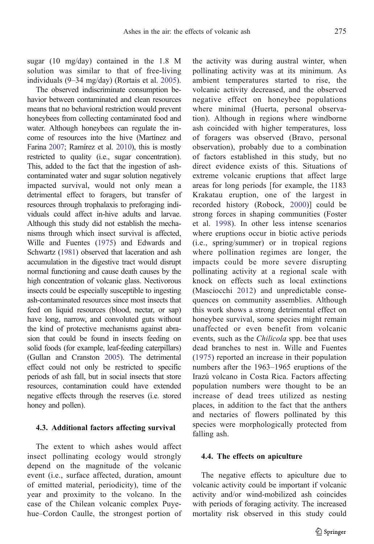sugar (10 mg/day) contained in the 1.8 M solution was similar to that of free-living individuals (9–34 mg/day) (Rortais et al. [2005](#page-10-0)).

The observed indiscriminate consumption behavior between contaminated and clean resources means that no behavioral restriction would prevent honeybees from collecting contaminated food and water. Although honeybees can regulate the income of resources into the hive (Martínez and Farina [2007](#page-9-0); Ramírez et al. [2010\)](#page-10-0), this is mostly restricted to quality (i.e., sugar concentration). This, added to the fact that the ingestion of ashcontaminated water and sugar solution negatively impacted survival, would not only mean a detrimental effect to foragers, but transfer of resources through trophalaxis to preforaging individuals could affect in-hive adults and larvae. Although this study did not establish the mechanisms through which insect survival is affected, Wille and Fuentes [\(1975\)](#page-10-0) and Edwards and Schwartz ([1981\)](#page-9-0) observed that laceration and ash accumulation in the digestive tract would disrupt normal functioning and cause death causes by the high concentration of volcanic glass. Nectivorous insects could be especially susceptible to ingesting ash-contaminated resources since most insects that feed on liquid resources (blood, nectar, or sap) have long, narrow, and convoluted guts without the kind of protective mechanisms against abrasion that could be found in insects feeding on solid foods (for example, leaf-feeding caterpillars) (Gullan and Cranston [2005](#page-9-0)). The detrimental effect could not only be restricted to specific periods of ash fall, but in social insects that store resources, contamination could have extended negative effects through the reserves (i.e. stored honey and pollen).

#### 4.3. Additional factors affecting survival

The extent to which ashes would affect insect pollinating ecology would strongly depend on the magnitude of the volcanic event (i.e., surface affected, duration, amount of emitted material, periodicity), time of the year and proximity to the volcano. In the case of the Chilean volcanic complex Puyehue–Cordon Caulle, the strongest portion of the activity was during austral winter, when pollinating activity was at its minimum. As ambient temperatures started to rise, the volcanic activity decreased, and the observed negative effect on honeybee populations where minimal (Huerta, personal observation). Although in regions where windborne ash coincided with higher temperatures, loss of foragers was observed (Bravo, personal observation), probably due to a combination of factors established in this study, but no direct evidence exists of this. Situations of extreme volcanic eruptions that affect large areas for long periods [for example, the 1183 Krakatau eruption, one of the largest in recorded history (Robock, [2000](#page-10-0))] could be strong forces in shaping communities (Foster et al. [1998\)](#page-9-0). In other less intense scenarios where eruptions occur in biotic active periods (i.e., spring/summer) or in tropical regions where pollination regimes are longer, the impacts could be more severe disrupting pollinating activity at a regional scale with knock on effects such as local extinctions (Masciocchi [2012](#page-9-0)) and unpredictable consequences on community assemblies. Although this work shows a strong detrimental effect on honeybee survival, some species might remain unaffected or even benefit from volcanic events, such as the *Chilicola* spp. bee that uses dead branches to nest in. Wille and Fuentes [\(1975\)](#page-10-0) reported an increase in their population numbers after the 1963–1965 eruptions of the Irazú volcano in Costa Rica. Factors affecting population numbers were thought to be an increase of dead trees utilized as nesting places, in addition to the fact that the anthers and nectaries of flowers pollinated by this species were morphologically protected from falling ash.

#### 4.4. The effects on apiculture

The negative effects to apiculture due to volcanic activity could be important if volcanic activity and/or wind-mobilized ash coincides with periods of foraging activity. The increased mortality risk observed in this study could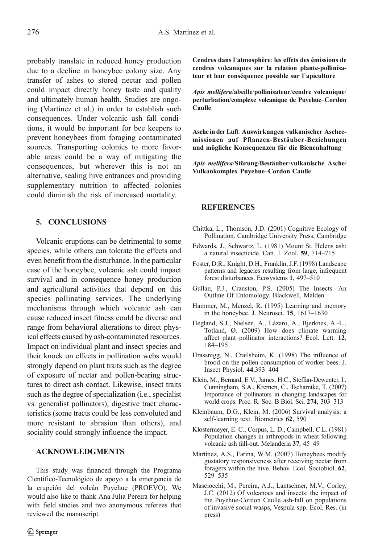<span id="page-9-0"></span>probably translate in reduced honey production due to a decline in honeybee colony size. Any transfer of ashes to stored nectar and pollen could impact directly honey taste and quality and ultimately human health. Studies are ongoing (Martinez et al.) in order to establish such consequences. Under volcanic ash fall conditions, it would be important for bee keepers to prevent honeybees from foraging contaminated sources. Transporting colonies to more favorable areas could be a way of mitigating the consequences, but wherever this is not an alternative, sealing hive entrances and providing supplementary nutrition to affected colonies could diminish the risk of increased mortality.

## 5. CONCLUSIONS

Volcanic eruptions can be detrimental to some species, while others can tolerate the effects and even benefit from the disturbance. In the particular case of the honeybee, volcanic ash could impact survival and in consequence honey production and agricultural activities that depend on this species pollinating services. The underlying mechanisms through which volcanic ash can cause reduced insect fitness could be diverse and range from behavioral alterations to direct physical effects caused by ash-contaminated resources. Impact on individual plant and insect species and their knock on effects in pollination webs would strongly depend on plant traits such as the degree of exposure of nectar and pollen-bearing structures to direct ash contact. Likewise, insect traits such as the degree of specialization (i.e., specialist vs. generalist pollinators), digestive tract characteristics (some tracts could be less convoluted and more resistant to abrasion than others), and sociality could strongly influence the impact.

## ACKNOWLEDGMENTS

This study was financed through the Programa Científico-Tecnológico de apoyo a la emergencia de la erupción del volcán Puyehue (PROEVO). We would also like to thank Ana Julia Pereira for helping with field studies and two anonymous referees that reviewed the manuscript.

Cendres dans l'atmosphère: les effets des émissions de cendres volcaniques sur la relation plante-pollinisateur et leur conséquence possible sur l'apiculture

Apis mellifera/abeille/pollinisateur/cendre volcanique/ perturbation/complexe volcanique de Puyehue–Cordon Caulle

Asche in der Luft: Auswirkungen vulkanischer Ascheemissionen auf Pflanzen-Bestäuber-Beziehungen und mögliche Konsequenzen für die Bienenhaltung

Apis mellifera/Störung/Bestäuber/vulkanische Asche/ Vulkankomplex Puyehue–Cordon Caulle

## **REFERENCES**

- Chittka, L., Thomson, J.D. (2001) Cognitive Ecology of Pollination. Cambridge University Press, Cambridge
- Edwards, J., Schwartz, L. (1981) Mount St. Helens ash: a natural insecticide. Can. J. Zool. 59, 714–715
- Foster, D.R., Knight, D.H., Franklin, J.F. (1998) Landscape patterns and legacies resulting from large, infrequent forest disturbances. Ecosystems 1, 497–510
- Gullan, P.J., Cranston, P.S. (2005) The Insects. An Outline Of Entomology. Blackwell, Malden
- Hammer, M., Menzel, R. (1995) Learning and memory in the honeybee. J. Neurosci. 15, 1617–1630
- Hegland, S.J., Nielsen, A., Lázaro, A., Bjerknes, A.-L., Totland, Ø. (2009) How does climate warming affect plant–pollinator interactions? Ecol. Lett. 12, 184–195
- Hrassnigg, N., Crailsheim, K. (1998) The influence of brood on the pollen consumption of worker bees. J. Insect Physiol. 44,393–404
- Klein, M., Bernard, E.V., James, H.C., Steffan-Dewenter, I., Cunningham, S.A., Kremen, C., Tscharntke, T. (2007) Importance of pollinators in changing landscapes for world crops. Proc. R. Soc. B Biol. Sci. 274, 303–313
- Kleinbaum, D.G., Klein, M. (2006) Survival analysis: a self-learning text. Biometrics 62, 590
- Klostermeyer, E. C., Corpus, L. D., Campbell, C.L. (1981) Population changes in arthropods in wheat following volcanic ash fall-out. Melanderia 37, 45–49
- Martínez, A.S., Farina, W.M. (2007) Honeybees modify gustatory responsiveness after receiving nectar from foragers within the hive. Behav. Ecol. Sociobiol. 62, 529–535
- Masciocchi, M., Pereira, A.J., Lantschner, M.V., Corley, J.C. (2012) Of volcanoes and insects: the impact of the Puyehue-Cordon Caulle ash-fall on populations of invasive social wasps, Vespula spp. Ecol. Res. (in press)